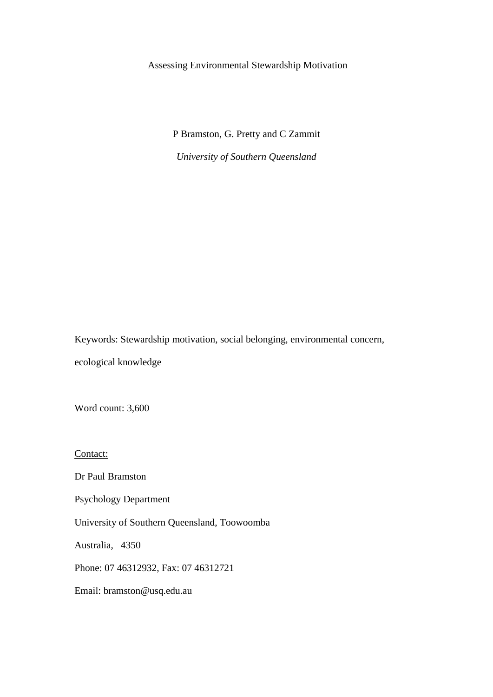# Assessing Environmental Stewardship Motivation

P Bramston, G. Pretty and C Zammit *University of Southern Queensland* 

Keywords: Stewardship motivation, social belonging, environmental concern, ecological knowledge

Word count: 3,600

Contact:

Dr Paul Bramston

Psychology Department

University of Southern Queensland, Toowoomba

Australia, 4350

Phone: 07 46312932, Fax: 07 46312721

Email: bramston@usq.edu.au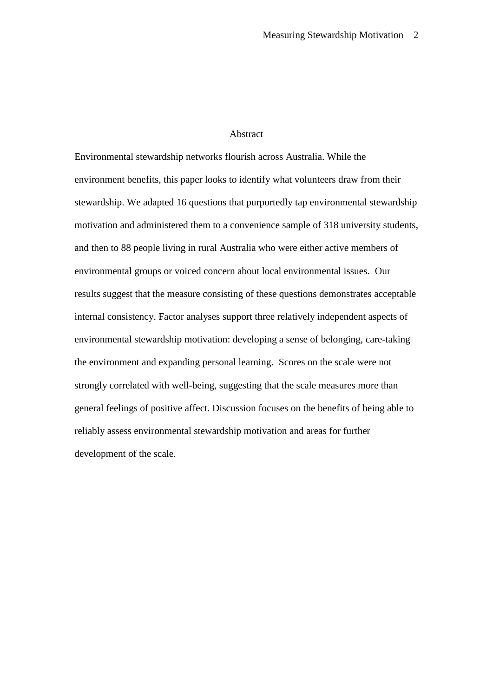# Abstract

Environmental stewardship networks flourish across Australia. While the environment benefits, this paper looks to identify what volunteers draw from their stewardship. We adapted 16 questions that purportedly tap environmental stewardship motivation and administered them to a convenience sample of 318 university students, and then to 88 people living in rural Australia who were either active members of environmental groups or voiced concern about local environmental issues. Our results suggest that the measure consisting of these questions demonstrates acceptable internal consistency. Factor analyses support three relatively independent aspects of environmental stewardship motivation: developing a sense of belonging, care-taking the environment and expanding personal learning. Scores on the scale were not strongly correlated with well-being, suggesting that the scale measures more than general feelings of positive affect. Discussion focuses on the benefits of being able to reliably assess environmental stewardship motivation and areas for further development of the scale.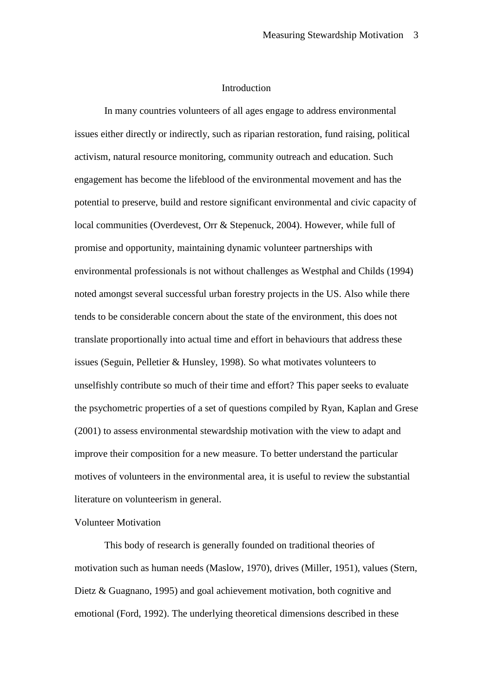### **Introduction**

In many countries volunteers of all ages engage to address environmental issues either directly or indirectly, such as riparian restoration, fund raising, political activism, natural resource monitoring, community outreach and education. Such engagement has become the lifeblood of the environmental movement and has the potential to preserve, build and restore significant environmental and civic capacity of local communities (Overdevest, Orr & Stepenuck, 2004). However, while full of promise and opportunity, maintaining dynamic volunteer partnerships with environmental professionals is not without challenges as Westphal and Childs (1994) noted amongst several successful urban forestry projects in the US. Also while there tends to be considerable concern about the state of the environment, this does not translate proportionally into actual time and effort in behaviours that address these issues (Seguin, Pelletier & Hunsley, 1998). So what motivates volunteers to unselfishly contribute so much of their time and effort? This paper seeks to evaluate the psychometric properties of a set of questions compiled by Ryan, Kaplan and Grese (2001) to assess environmental stewardship motivation with the view to adapt and improve their composition for a new measure. To better understand the particular motives of volunteers in the environmental area, it is useful to review the substantial literature on volunteerism in general.

# Volunteer Motivation

This body of research is generally founded on traditional theories of motivation such as human needs (Maslow, 1970), drives (Miller, 1951), values (Stern, Dietz & Guagnano, 1995) and goal achievement motivation, both cognitive and emotional (Ford, 1992). The underlying theoretical dimensions described in these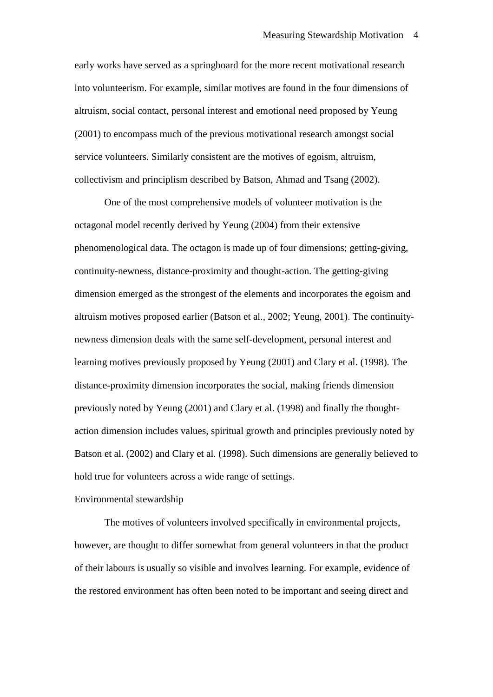early works have served as a springboard for the more recent motivational research into volunteerism. For example, similar motives are found in the four dimensions of altruism, social contact, personal interest and emotional need proposed by Yeung (2001) to encompass much of the previous motivational research amongst social service volunteers. Similarly consistent are the motives of egoism, altruism, collectivism and principlism described by Batson, Ahmad and Tsang (2002).

One of the most comprehensive models of volunteer motivation is the octagonal model recently derived by Yeung (2004) from their extensive phenomenological data. The octagon is made up of four dimensions; getting-giving, continuity-newness, distance-proximity and thought-action. The getting-giving dimension emerged as the strongest of the elements and incorporates the egoism and altruism motives proposed earlier (Batson et al., 2002; Yeung, 2001). The continuitynewness dimension deals with the same self-development, personal interest and learning motives previously proposed by Yeung (2001) and Clary et al. (1998). The distance-proximity dimension incorporates the social, making friends dimension previously noted by Yeung (2001) and Clary et al. (1998) and finally the thoughtaction dimension includes values, spiritual growth and principles previously noted by Batson et al. (2002) and Clary et al. (1998). Such dimensions are generally believed to hold true for volunteers across a wide range of settings.

## Environmental stewardship

The motives of volunteers involved specifically in environmental projects, however, are thought to differ somewhat from general volunteers in that the product of their labours is usually so visible and involves learning. For example, evidence of the restored environment has often been noted to be important and seeing direct and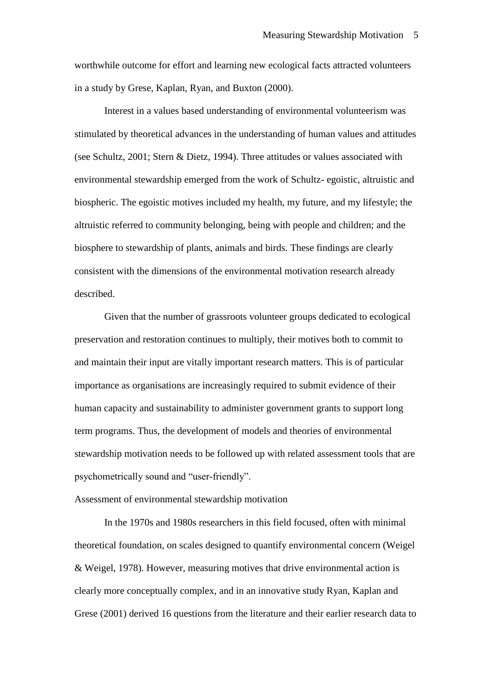worthwhile outcome for effort and learning new ecological facts attracted volunteers in a study by Grese, Kaplan, Ryan, and Buxton (2000).

Interest in a values based understanding of environmental volunteerism was stimulated by theoretical advances in the understanding of human values and attitudes (see Schultz, 2001; Stern & Dietz, 1994). Three attitudes or values associated with environmental stewardship emerged from the work of Schultz- egoistic, altruistic and biospheric. The egoistic motives included my health, my future, and my lifestyle; the altruistic referred to community belonging, being with people and children; and the biosphere to stewardship of plants, animals and birds. These findings are clearly consistent with the dimensions of the environmental motivation research already described.

Given that the number of grassroots volunteer groups dedicated to ecological preservation and restoration continues to multiply, their motives both to commit to and maintain their input are vitally important research matters. This is of particular importance as organisations are increasingly required to submit evidence of their human capacity and sustainability to administer government grants to support long term programs. Thus, the development of models and theories of environmental stewardship motivation needs to be followed up with related assessment tools that are psychometrically sound and "user-friendly".

### Assessment of environmental stewardship motivation

In the 1970s and 1980s researchers in this field focused, often with minimal theoretical foundation, on scales designed to quantify environmental concern (Weigel & Weigel, 1978). However, measuring motives that drive environmental action is clearly more conceptually complex, and in an innovative study Ryan, Kaplan and Grese (2001) derived 16 questions from the literature and their earlier research data to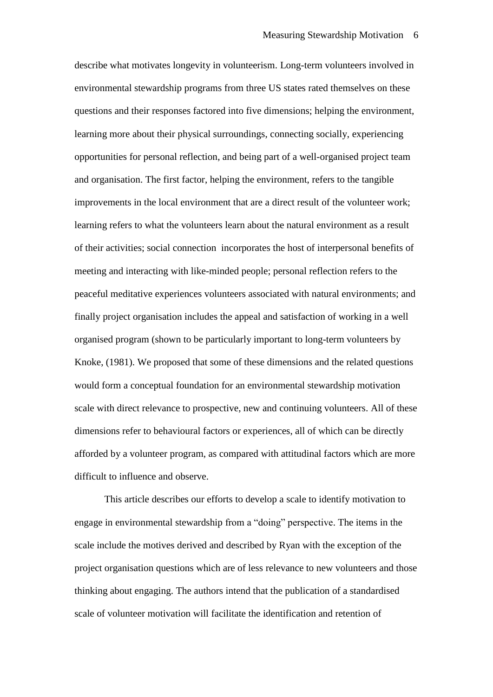describe what motivates longevity in volunteerism. Long-term volunteers involved in environmental stewardship programs from three US states rated themselves on these questions and their responses factored into five dimensions; helping the environment, learning more about their physical surroundings, connecting socially, experiencing opportunities for personal reflection, and being part of a well-organised project team and organisation. The first factor, helping the environment, refers to the tangible improvements in the local environment that are a direct result of the volunteer work; learning refers to what the volunteers learn about the natural environment as a result of their activities; social connection incorporates the host of interpersonal benefits of meeting and interacting with like-minded people; personal reflection refers to the peaceful meditative experiences volunteers associated with natural environments; and finally project organisation includes the appeal and satisfaction of working in a well organised program (shown to be particularly important to long-term volunteers by Knoke, (1981). We proposed that some of these dimensions and the related questions would form a conceptual foundation for an environmental stewardship motivation scale with direct relevance to prospective, new and continuing volunteers. All of these dimensions refer to behavioural factors or experiences, all of which can be directly afforded by a volunteer program, as compared with attitudinal factors which are more difficult to influence and observe.

This article describes our efforts to develop a scale to identify motivation to engage in environmental stewardship from a "doing" perspective. The items in the scale include the motives derived and described by Ryan with the exception of the project organisation questions which are of less relevance to new volunteers and those thinking about engaging. The authors intend that the publication of a standardised scale of volunteer motivation will facilitate the identification and retention of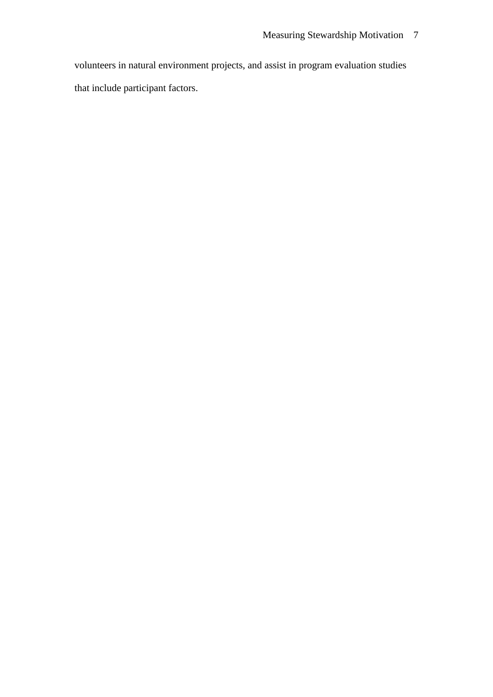volunteers in natural environment projects, and assist in program evaluation studies that include participant factors.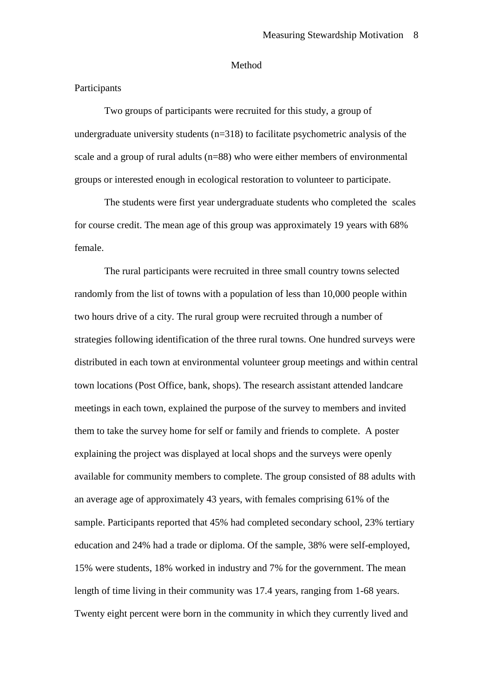#### Method

## **Participants**

Two groups of participants were recruited for this study, a group of undergraduate university students  $(n=318)$  to facilitate psychometric analysis of the scale and a group of rural adults (n=88) who were either members of environmental groups or interested enough in ecological restoration to volunteer to participate.

The students were first year undergraduate students who completed the scales for course credit. The mean age of this group was approximately 19 years with 68% female.

The rural participants were recruited in three small country towns selected randomly from the list of towns with a population of less than 10,000 people within two hours drive of a city. The rural group were recruited through a number of strategies following identification of the three rural towns. One hundred surveys were distributed in each town at environmental volunteer group meetings and within central town locations (Post Office, bank, shops). The research assistant attended landcare meetings in each town, explained the purpose of the survey to members and invited them to take the survey home for self or family and friends to complete. A poster explaining the project was displayed at local shops and the surveys were openly available for community members to complete. The group consisted of 88 adults with an average age of approximately 43 years, with females comprising 61% of the sample. Participants reported that 45% had completed secondary school, 23% tertiary education and 24% had a trade or diploma. Of the sample, 38% were self-employed, 15% were students, 18% worked in industry and 7% for the government. The mean length of time living in their community was 17.4 years, ranging from 1-68 years. Twenty eight percent were born in the community in which they currently lived and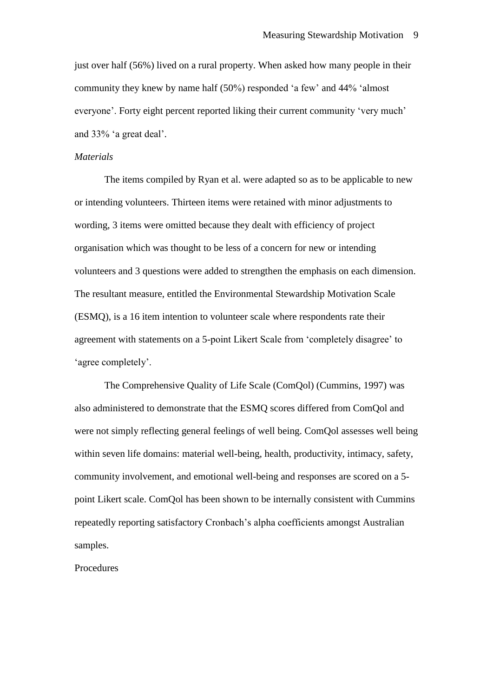just over half (56%) lived on a rural property. When asked how many people in their community they knew by name half (50%) responded "a few" and 44% "almost everyone'. Forty eight percent reported liking their current community 'very much' and 33% "a great deal".

#### *Materials*

The items compiled by Ryan et al. were adapted so as to be applicable to new or intending volunteers. Thirteen items were retained with minor adjustments to wording, 3 items were omitted because they dealt with efficiency of project organisation which was thought to be less of a concern for new or intending volunteers and 3 questions were added to strengthen the emphasis on each dimension. The resultant measure, entitled the Environmental Stewardship Motivation Scale (ESMQ), is a 16 item intention to volunteer scale where respondents rate their agreement with statements on a 5-point Likert Scale from "completely disagree" to 'agree completely'.

The Comprehensive Quality of Life Scale (ComQol) (Cummins, 1997) was also administered to demonstrate that the ESMQ scores differed from ComQol and were not simply reflecting general feelings of well being. ComQol assesses well being within seven life domains: material well-being, health, productivity, intimacy, safety, community involvement, and emotional well-being and responses are scored on a 5 point Likert scale. ComQol has been shown to be internally consistent with Cummins repeatedly reporting satisfactory Cronbach"s alpha coefficients amongst Australian samples.

Procedures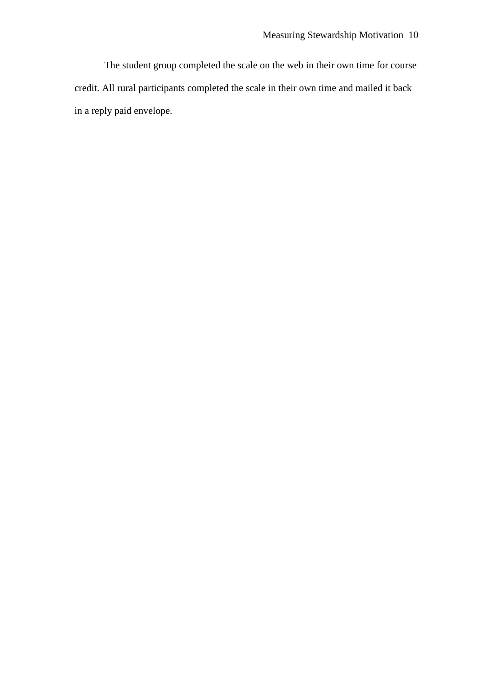The student group completed the scale on the web in their own time for course credit. All rural participants completed the scale in their own time and mailed it back in a reply paid envelope.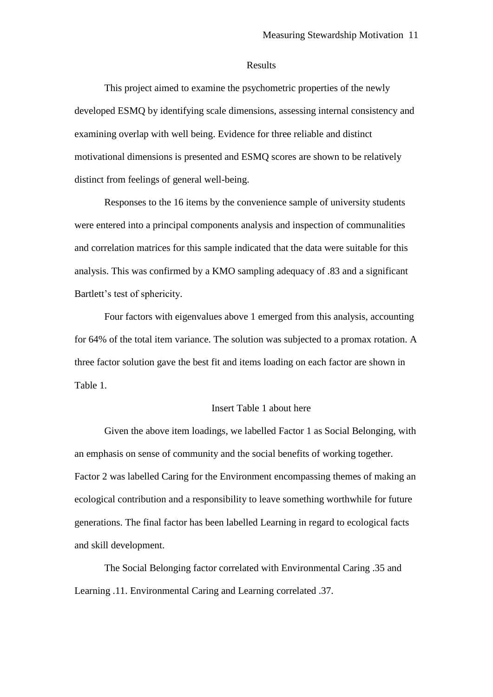#### Results

This project aimed to examine the psychometric properties of the newly developed ESMQ by identifying scale dimensions, assessing internal consistency and examining overlap with well being. Evidence for three reliable and distinct motivational dimensions is presented and ESMQ scores are shown to be relatively distinct from feelings of general well-being.

Responses to the 16 items by the convenience sample of university students were entered into a principal components analysis and inspection of communalities and correlation matrices for this sample indicated that the data were suitable for this analysis. This was confirmed by a KMO sampling adequacy of .83 and a significant Bartlett's test of sphericity.

Four factors with eigenvalues above 1 emerged from this analysis, accounting for 64% of the total item variance. The solution was subjected to a promax rotation. A three factor solution gave the best fit and items loading on each factor are shown in Table 1.

#### Insert Table 1 about here

Given the above item loadings, we labelled Factor 1 as Social Belonging, with an emphasis on sense of community and the social benefits of working together. Factor 2 was labelled Caring for the Environment encompassing themes of making an ecological contribution and a responsibility to leave something worthwhile for future generations. The final factor has been labelled Learning in regard to ecological facts and skill development.

The Social Belonging factor correlated with Environmental Caring .35 and Learning .11. Environmental Caring and Learning correlated .37.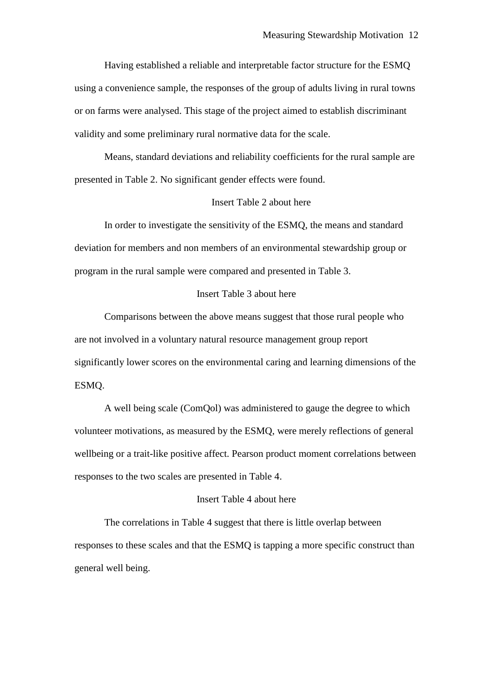Having established a reliable and interpretable factor structure for the ESMQ using a convenience sample, the responses of the group of adults living in rural towns or on farms were analysed. This stage of the project aimed to establish discriminant validity and some preliminary rural normative data for the scale.

Means, standard deviations and reliability coefficients for the rural sample are presented in Table 2. No significant gender effects were found.

### Insert Table 2 about here

In order to investigate the sensitivity of the ESMQ, the means and standard deviation for members and non members of an environmental stewardship group or program in the rural sample were compared and presented in Table 3.

# Insert Table 3 about here

Comparisons between the above means suggest that those rural people who are not involved in a voluntary natural resource management group report significantly lower scores on the environmental caring and learning dimensions of the ESMQ.

A well being scale (ComQol) was administered to gauge the degree to which volunteer motivations, as measured by the ESMQ, were merely reflections of general wellbeing or a trait-like positive affect. Pearson product moment correlations between responses to the two scales are presented in Table 4.

### Insert Table 4 about here

The correlations in Table 4 suggest that there is little overlap between responses to these scales and that the ESMQ is tapping a more specific construct than general well being.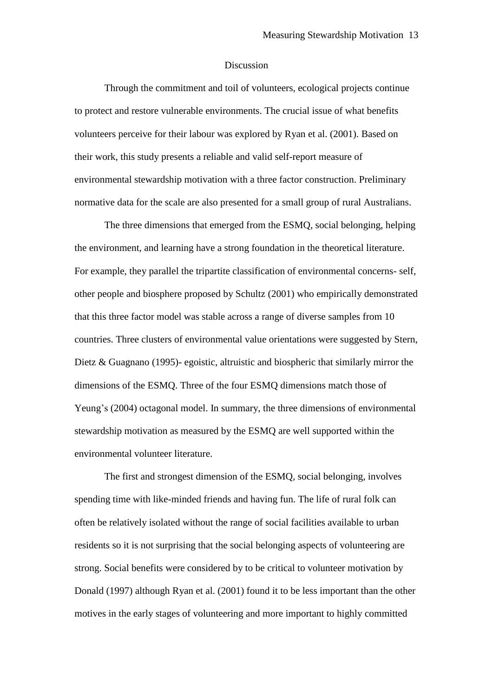### Discussion

Through the commitment and toil of volunteers, ecological projects continue to protect and restore vulnerable environments. The crucial issue of what benefits volunteers perceive for their labour was explored by Ryan et al. (2001). Based on their work, this study presents a reliable and valid self-report measure of environmental stewardship motivation with a three factor construction. Preliminary normative data for the scale are also presented for a small group of rural Australians.

The three dimensions that emerged from the ESMQ, social belonging, helping the environment, and learning have a strong foundation in the theoretical literature. For example, they parallel the tripartite classification of environmental concerns- self, other people and biosphere proposed by Schultz (2001) who empirically demonstrated that this three factor model was stable across a range of diverse samples from 10 countries. Three clusters of environmental value orientations were suggested by Stern, Dietz & Guagnano (1995)- egoistic, altruistic and biospheric that similarly mirror the dimensions of the ESMQ. Three of the four ESMQ dimensions match those of Yeung's (2004) octagonal model. In summary, the three dimensions of environmental stewardship motivation as measured by the ESMQ are well supported within the environmental volunteer literature.

The first and strongest dimension of the ESMQ, social belonging, involves spending time with like-minded friends and having fun. The life of rural folk can often be relatively isolated without the range of social facilities available to urban residents so it is not surprising that the social belonging aspects of volunteering are strong. Social benefits were considered by to be critical to volunteer motivation by Donald (1997) although Ryan et al. (2001) found it to be less important than the other motives in the early stages of volunteering and more important to highly committed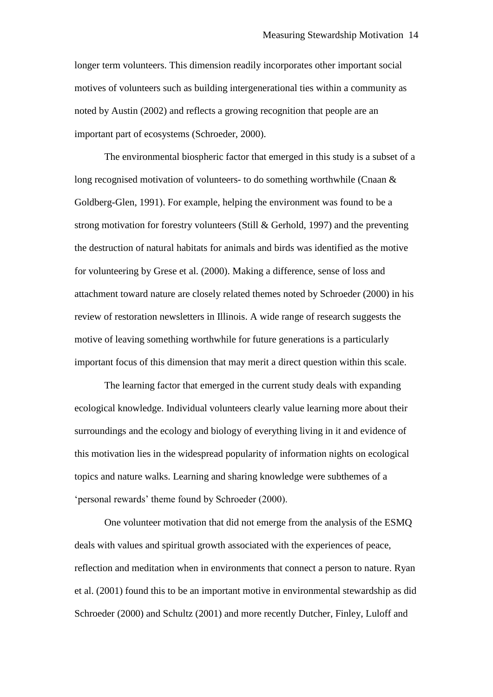longer term volunteers. This dimension readily incorporates other important social motives of volunteers such as building intergenerational ties within a community as noted by Austin (2002) and reflects a growing recognition that people are an important part of ecosystems (Schroeder, 2000).

The environmental biospheric factor that emerged in this study is a subset of a long recognised motivation of volunteers- to do something worthwhile (Cnaan  $\&$ Goldberg-Glen, 1991). For example, helping the environment was found to be a strong motivation for forestry volunteers (Still & Gerhold, 1997) and the preventing the destruction of natural habitats for animals and birds was identified as the motive for volunteering by Grese et al. (2000). Making a difference, sense of loss and attachment toward nature are closely related themes noted by Schroeder (2000) in his review of restoration newsletters in Illinois. A wide range of research suggests the motive of leaving something worthwhile for future generations is a particularly important focus of this dimension that may merit a direct question within this scale.

The learning factor that emerged in the current study deals with expanding ecological knowledge. Individual volunteers clearly value learning more about their surroundings and the ecology and biology of everything living in it and evidence of this motivation lies in the widespread popularity of information nights on ecological topics and nature walks. Learning and sharing knowledge were subthemes of a "personal rewards" theme found by Schroeder (2000).

One volunteer motivation that did not emerge from the analysis of the ESMQ deals with values and spiritual growth associated with the experiences of peace, reflection and meditation when in environments that connect a person to nature. Ryan et al. (2001) found this to be an important motive in environmental stewardship as did Schroeder (2000) and Schultz (2001) and more recently Dutcher, Finley, Luloff and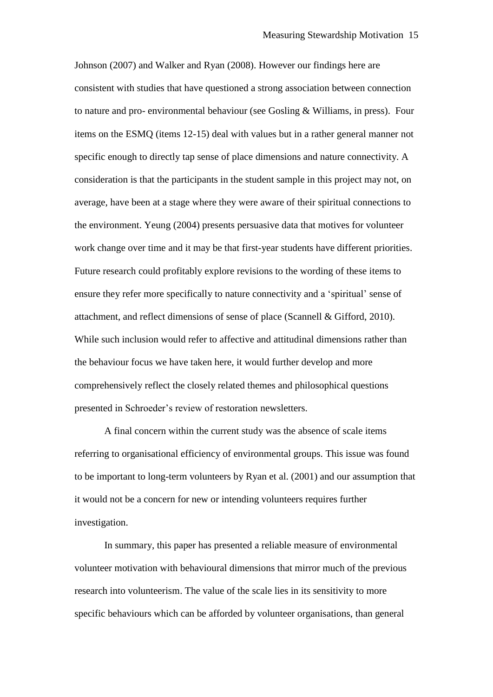Johnson (2007) and Walker and Ryan (2008). However our findings here are consistent with studies that have questioned a strong association between connection to nature and pro- environmental behaviour (see Gosling & Williams, in press). Four items on the ESMQ (items 12-15) deal with values but in a rather general manner not specific enough to directly tap sense of place dimensions and nature connectivity. A consideration is that the participants in the student sample in this project may not, on average, have been at a stage where they were aware of their spiritual connections to the environment. Yeung (2004) presents persuasive data that motives for volunteer work change over time and it may be that first-year students have different priorities. Future research could profitably explore revisions to the wording of these items to ensure they refer more specifically to nature connectivity and a "spiritual" sense of attachment, and reflect dimensions of sense of place (Scannell & Gifford, 2010). While such inclusion would refer to affective and attitudinal dimensions rather than the behaviour focus we have taken here, it would further develop and more comprehensively reflect the closely related themes and philosophical questions presented in Schroeder"s review of restoration newsletters.

A final concern within the current study was the absence of scale items referring to organisational efficiency of environmental groups. This issue was found to be important to long-term volunteers by Ryan et al. (2001) and our assumption that it would not be a concern for new or intending volunteers requires further investigation.

In summary, this paper has presented a reliable measure of environmental volunteer motivation with behavioural dimensions that mirror much of the previous research into volunteerism. The value of the scale lies in its sensitivity to more specific behaviours which can be afforded by volunteer organisations, than general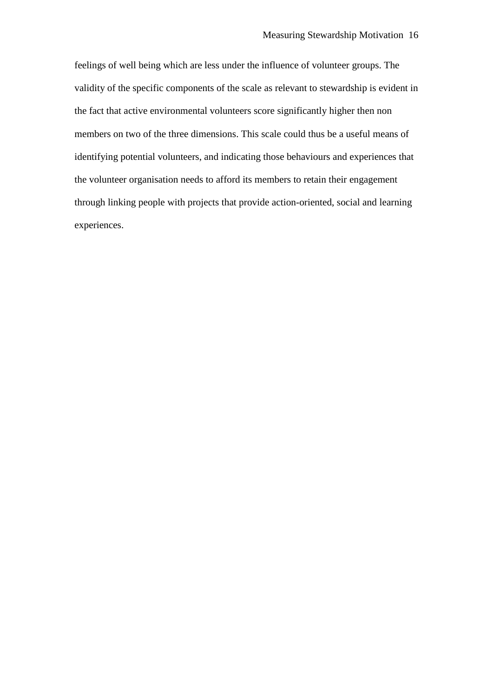feelings of well being which are less under the influence of volunteer groups. The validity of the specific components of the scale as relevant to stewardship is evident in the fact that active environmental volunteers score significantly higher then non members on two of the three dimensions. This scale could thus be a useful means of identifying potential volunteers, and indicating those behaviours and experiences that the volunteer organisation needs to afford its members to retain their engagement through linking people with projects that provide action-oriented, social and learning experiences.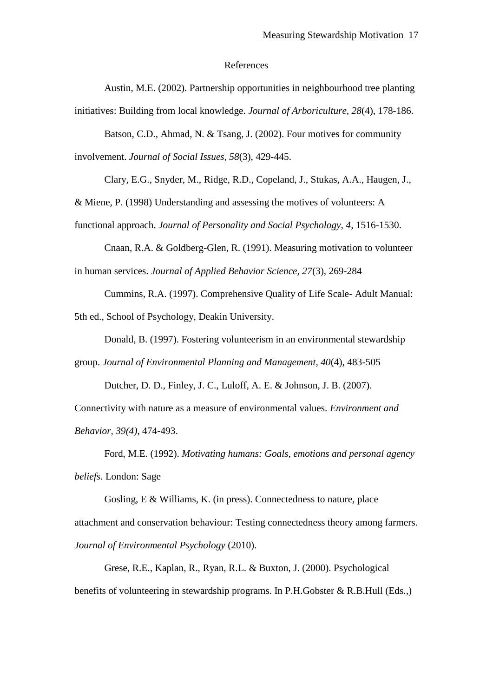#### References

Austin, M.E. (2002). Partnership opportunities in neighbourhood tree planting initiatives: Building from local knowledge. *Journal of Arboriculture, 28*(4), 178-186.

Batson, C.D., Ahmad, N. & Tsang, J. (2002). Four motives for community involvement. *Journal of Social Issues, 58*(3), 429-445.

Clary, E.G., Snyder, M., Ridge, R.D., Copeland, J., Stukas, A.A., Haugen, J., & Miene, P. (1998) Understanding and assessing the motives of volunteers: A functional approach. *Journal of Personality and Social Psychology, 4*, 1516-1530.

Cnaan, R.A. & Goldberg-Glen, R. (1991). Measuring motivation to volunteer in human services. *Journal of Applied Behavior Science, 27*(3), 269-284

Cummins, R.A. (1997). Comprehensive Quality of Life Scale- Adult Manual:

5th ed., School of Psychology, Deakin University.

Donald, B. (1997). Fostering volunteerism in an environmental stewardship

group. *Journal of Environmental Planning and Management, 40*(4), 483-505

Dutcher, D. D., Finley, J. C., Luloff, A. E. & Johnson, J. B. (2007).

Connectivity with nature as a measure of environmental values. *Environment and Behavior, 39(4)*, 474-493.

Ford, M.E. (1992). *Motivating humans: Goals, emotions and personal agency beliefs*. London: Sage

Gosling, E & Williams, K. (in press). Connectedness to nature, place attachment and conservation behaviour: Testing connectedness theory among farmers. *Journal of Environmental Psychology* (2010).

Grese, R.E., Kaplan, R., Ryan, R.L. & Buxton, J. (2000). Psychological benefits of volunteering in stewardship programs. In P.H.Gobster & R.B.Hull (Eds.,)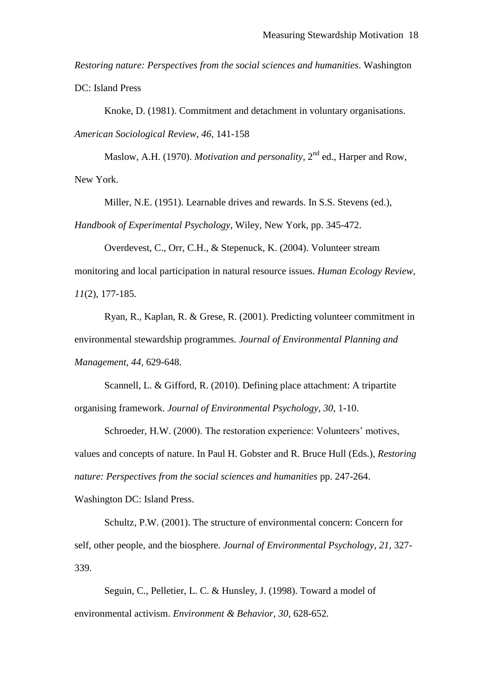*Restoring nature: Perspectives from the social sciences and humanities*. Washington DC: Island Press

Knoke, D. (1981). Commitment and detachment in voluntary organisations. *American Sociological Review, 46*, 141-158

Maslow, A.H. (1970). *Motivation and personality*, 2<sup>nd</sup> ed., Harper and Row, New York.

Miller, N.E. (1951). Learnable drives and rewards. In S.S. Stevens (ed.),

*Handbook of Experimental Psychology*, Wiley, New York, pp. 345-472.

Overdevest, C., Orr, C.H., & Stepenuck, K. (2004). Volunteer stream

monitoring and local participation in natural resource issues. *Human Ecology Review, 11*(2), 177-185.

Ryan, R., Kaplan, R. & Grese, R. (2001). Predicting volunteer commitment in environmental stewardship programmes. *Journal of Environmental Planning and Management, 44,* 629-648.

Scannell, L. & Gifford, R. (2010). Defining place attachment: A tripartite organising framework. *Journal of Environmental Psychology, 30*, 1-10.

Schroeder, H.W. (2000). The restoration experience: Volunteers' motives, values and concepts of nature. In Paul H. Gobster and R. Bruce Hull (Eds.), *Restoring nature: Perspectives from the social sciences and humanities* pp. 247-264. Washington DC: Island Press.

Schultz, P.W. (2001). The structure of environmental concern: Concern for self, other people, and the biosphere. *Journal of Environmental Psychology, 21*, 327- 339.

Seguin, C., Pelletier, L. C. & Hunsley, J. (1998). Toward a model of environmental activism. *Environment & Behavior, 30*, 628-652.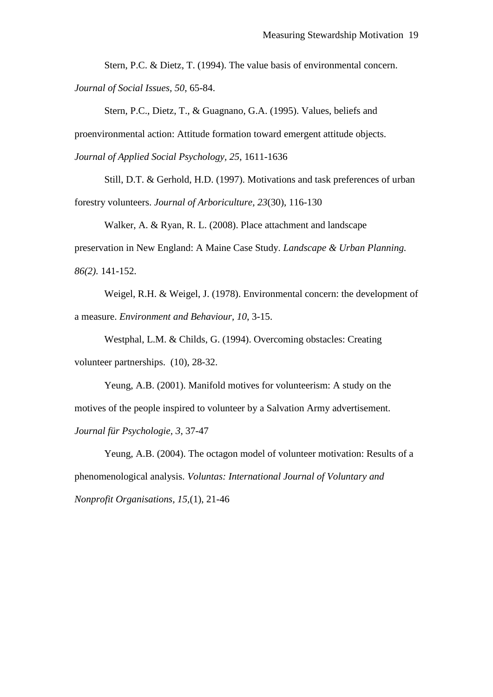Stern, P.C. & Dietz, T. (1994). The value basis of environmental concern. *Journal of Social Issues, 50*, 65-84.

Stern, P.C., Dietz, T., & Guagnano, G.A. (1995). Values, beliefs and proenvironmental action: Attitude formation toward emergent attitude objects. *Journal of Applied Social Psychology, 25*, 1611-1636

Still, D.T. & Gerhold, H.D. (1997). Motivations and task preferences of urban forestry volunteers. *Journal of Arboriculture, 23*(30), 116-130

Walker, A. & Ryan, R. L. (2008). Place attachment and landscape preservation in New England: A Maine Case Study. *Landscape & Urban Planning. 86(2).* 141-152.

Weigel, R.H. & Weigel, J. (1978). Environmental concern: the development of a measure. *Environment and Behaviour, 10*, 3-15.

Westphal, L.M. & Childs, G. (1994). Overcoming obstacles: Creating volunteer partnerships. (10), 28-32.

Yeung, A.B. (2001). Manifold motives for volunteerism: A study on the motives of the people inspired to volunteer by a Salvation Army advertisement. *Journal für Psychologie, 3*, 37-47

Yeung, A.B. (2004). The octagon model of volunteer motivation: Results of a phenomenological analysis. *Voluntas: International Journal of Voluntary and Nonprofit Organisations, 15,*(1), 21-46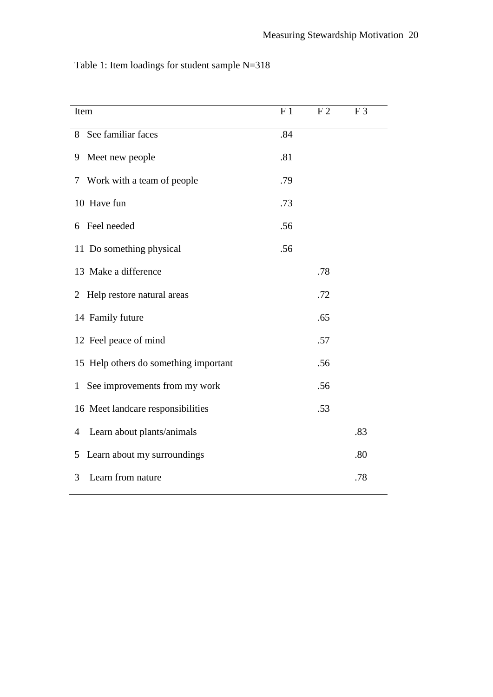| Item                                          | F <sub>1</sub> | F <sub>2</sub> | F <sub>3</sub> |
|-----------------------------------------------|----------------|----------------|----------------|
| 8 See familiar faces                          | .84            |                |                |
| Meet new people<br>9                          | .81            |                |                |
| Work with a team of people<br>7               | .79            |                |                |
| 10 Have fun                                   | .73            |                |                |
| Feel needed<br>6                              | .56            |                |                |
| 11 Do something physical                      | .56            |                |                |
| 13 Make a difference                          |                | .78            |                |
| 2 Help restore natural areas                  |                | .72            |                |
| 14 Family future                              |                | .65            |                |
| 12 Feel peace of mind                         |                | .57            |                |
| 15 Help others do something important         |                | .56            |                |
| See improvements from my work<br>$\mathbf{1}$ |                | .56            |                |
| 16 Meet landcare responsibilities             |                | .53            |                |
| Learn about plants/animals<br>4               |                |                | .83            |
| Learn about my surroundings<br>5              |                |                | .80            |
| Learn from nature<br>3                        |                |                | .78            |

Table 1: Item loadings for student sample N=318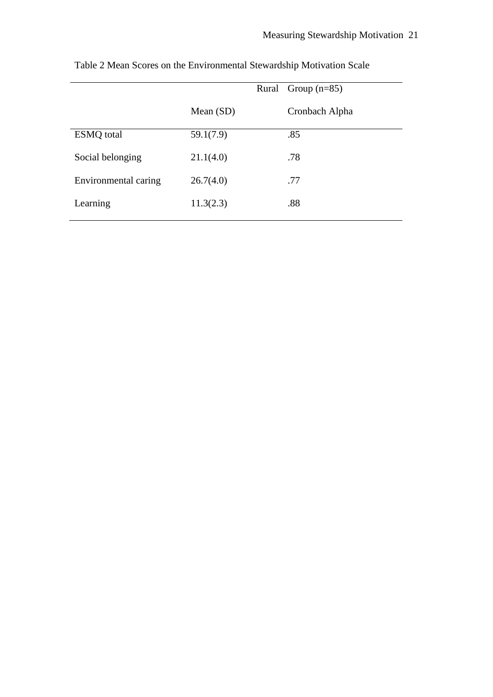|                      | Rural Group $(n=85)$ |                |  |
|----------------------|----------------------|----------------|--|
|                      | Mean $(SD)$          | Cronbach Alpha |  |
| <b>ESMQ</b> total    | 59.1(7.9)            | .85            |  |
| Social belonging     | 21.1(4.0)            | .78            |  |
| Environmental caring | 26.7(4.0)            | .77            |  |
| Learning             | 11.3(2.3)            | .88            |  |
|                      |                      |                |  |

Table 2 Mean Scores on the Environmental Stewardship Motivation Scale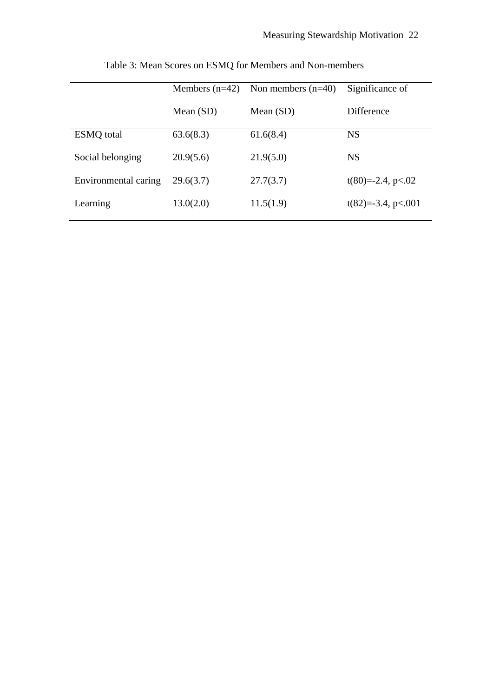|                      | Non members $(n=40)$<br>Members $(n=42)$ |             | Significance of       |  |
|----------------------|------------------------------------------|-------------|-----------------------|--|
|                      | Mean $(SD)$                              | Mean $(SD)$ | <b>Difference</b>     |  |
| <b>ESMQ</b> total    | 63.6(8.3)                                | 61.6(8.4)   | <b>NS</b>             |  |
| Social belonging     | 20.9(5.6)                                | 21.9(5.0)   | <b>NS</b>             |  |
| Environmental caring | 29.6(3.7)                                | 27.7(3.7)   | $t(80)=2.4$ , p<.02   |  |
| Learning             | 13.0(2.0)                                | 11.5(1.9)   | $t(82)=-3.4$ , p<.001 |  |

Table 3: Mean Scores on ESMQ for Members and Non-members